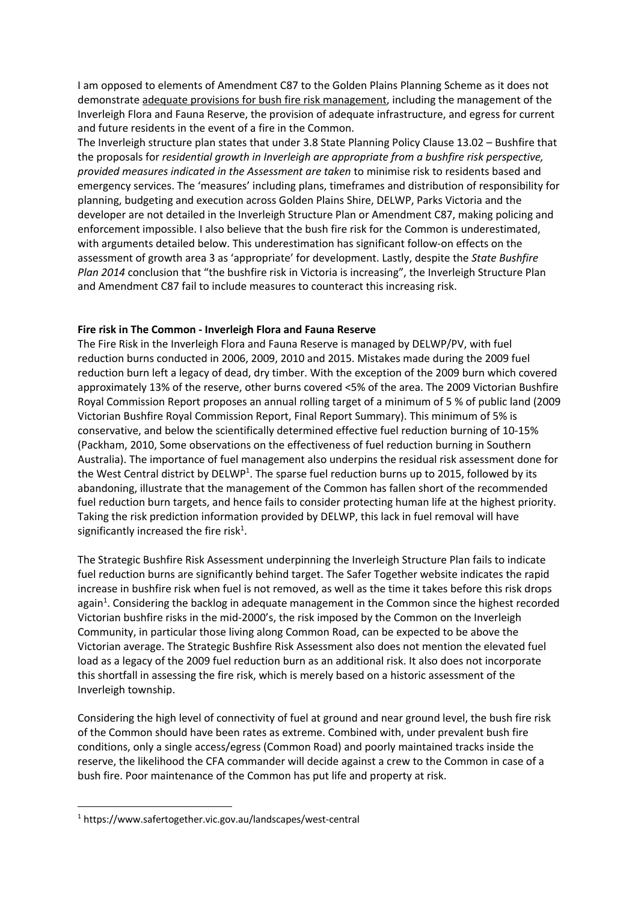I am opposed to elements of Amendment C87 to the Golden Plains Planning Scheme as it does not demonstrate adequate provisions for bush fire risk management, including the management of the Inverleigh Flora and Fauna Reserve, the provision of adequate infrastructure, and egress for current and future residents in the event of a fire in the Common.

The Inverleigh structure plan states that under 3.8 State Planning Policy Clause 13.02 – Bushfire that the proposals for *residential growth in Inverleigh are appropriate from a bushfire risk perspective, provided measures indicated in the Assessment are taken* to minimise risk to residents based and emergency services. The 'measures' including plans, timeframes and distribution of responsibility for planning, budgeting and execution across Golden Plains Shire, DELWP, Parks Victoria and the developer are not detailed in the Inverleigh Structure Plan or Amendment C87, making policing and enforcement impossible. I also believe that the bush fire risk for the Common is underestimated, with arguments detailed below. This underestimation has significant follow-on effects on the assessment of growth area 3 as 'appropriate' for development. Lastly, despite the *State Bushfire Plan 2014* conclusion that "the bushfire risk in Victoria is increasing", the Inverleigh Structure Plan and Amendment C87 fail to include measures to counteract this increasing risk.

## **Fire risk in The Common - Inverleigh Flora and Fauna Reserve**

The Fire Risk in the Inverleigh Flora and Fauna Reserve is managed by DELWP/PV, with fuel reduction burns conducted in 2006, 2009, 2010 and 2015. Mistakes made during the 2009 fuel reduction burn left a legacy of dead, dry timber. With the exception of the 2009 burn which covered approximately 13% of the reserve, other burns covered <5% of the area. The 2009 Victorian Bushfire Royal Commission Report proposes an annual rolling target of a minimum of 5 % of public land (2009 Victorian Bushfire Royal Commission Report, Final Report Summary). This minimum of 5% is conservative, and below the scientifically determined effective fuel reduction burning of 10-15% (Packham, 2010, Some observations on the effectiveness of fuel reduction burning in Southern Australia). The importance of fuel management also underpins the residual risk assessment done for the West Central district by DELWP<sup>1</sup>. The sparse fuel reduction burns up to 2015, followed by its abandoning, illustrate that the management of the Common has fallen short of the recommended fuel reduction burn targets, and hence fails to consider protecting human life at the highest priority. Taking the risk prediction information provided by DELWP, this lack in fuel removal will have significantly increased the fire risk<sup>1</sup>.

The Strategic Bushfire Risk Assessment underpinning the Inverleigh Structure Plan fails to indicate fuel reduction burns are significantly behind target. The Safer Together website indicates the rapid increase in bushfire risk when fuel is not removed, as well as the time it takes before this risk drops again<sup>1</sup>. Considering the backlog in adequate management in the Common since the highest recorded Victorian bushfire risks in the mid-2000's, the risk imposed by the Common on the Inverleigh Community, in particular those living along Common Road, can be expected to be above the Victorian average. The Strategic Bushfire Risk Assessment also does not mention the elevated fuel load as a legacy of the 2009 fuel reduction burn as an additional risk. It also does not incorporate this shortfall in assessing the fire risk, which is merely based on a historic assessment of the Inverleigh township.

Considering the high level of connectivity of fuel at ground and near ground level, the bush fire risk of the Common should have been rates as extreme. Combined with, under prevalent bush fire conditions, only a single access/egress (Common Road) and poorly maintained tracks inside the reserve, the likelihood the CFA commander will decide against a crew to the Common in case of a bush fire. Poor maintenance of the Common has put life and property at risk.

<sup>1</sup> https://www.safertogether.vic.gov.au/landscapes/west-central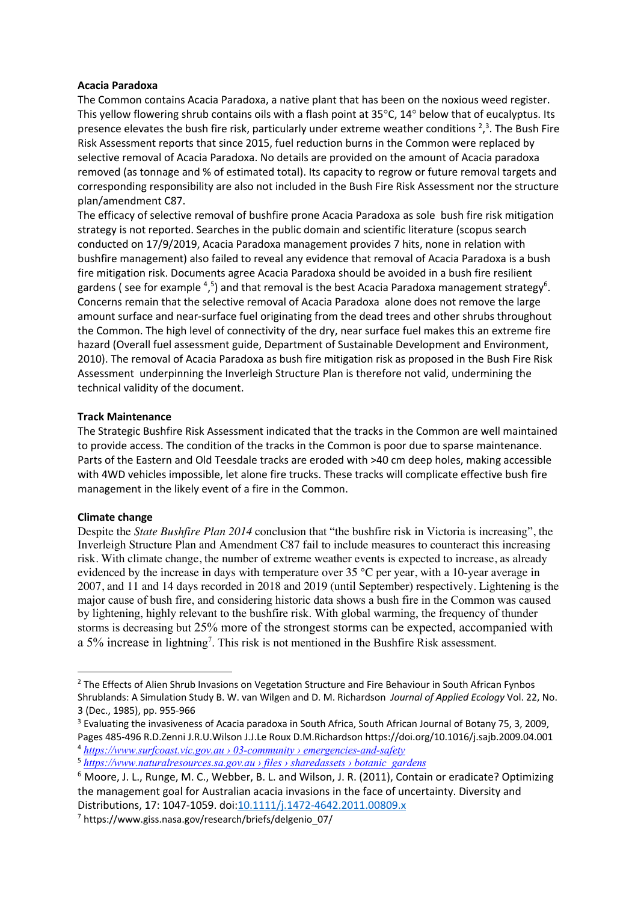### **Acacia Paradoxa**

The Common contains Acacia Paradoxa, a native plant that has been on the noxious weed register. This yellow flowering shrub contains oils with a flash point at 35°C, 14° below that of eucalyptus. Its presence elevates the bush fire risk, particularly under extreme weather conditions  $2^2$ , The Bush Fire Risk Assessment reports that since 2015, fuel reduction burns in the Common were replaced by selective removal of Acacia Paradoxa. No details are provided on the amount of Acacia paradoxa removed (as tonnage and % of estimated total). Its capacity to regrow or future removal targets and corresponding responsibility are also not included in the Bush Fire Risk Assessment nor the structure plan/amendment C87.

The efficacy of selective removal of bushfire prone Acacia Paradoxa as sole bush fire risk mitigation strategy is not reported. Searches in the public domain and scientific literature (scopus search conducted on 17/9/2019, Acacia Paradoxa management provides 7 hits, none in relation with bushfire management) also failed to reveal any evidence that removal of Acacia Paradoxa is a bush fire mitigation risk. Documents agree Acacia Paradoxa should be avoided in a bush fire resilient gardens (see for example  $4,5$ ) and that removal is the best Acacia Paradoxa management strategy<sup>6</sup>. Concerns remain that the selective removal of Acacia Paradoxa alone does not remove the large amount surface and near-surface fuel originating from the dead trees and other shrubs throughout the Common. The high level of connectivity of the dry, near surface fuel makes this an extreme fire hazard (Overall fuel assessment guide, Department of Sustainable Development and Environment, 2010). The removal of Acacia Paradoxa as bush fire mitigation risk as proposed in the Bush Fire Risk Assessment underpinning the Inverleigh Structure Plan is therefore not valid, undermining the technical validity of the document.

### **Track Maintenance**

The Strategic Bushfire Risk Assessment indicated that the tracks in the Common are well maintained to provide access. The condition of the tracks in the Common is poor due to sparse maintenance. Parts of the Eastern and Old Teesdale tracks are eroded with >40 cm deep holes, making accessible with 4WD vehicles impossible, let alone fire trucks. These tracks will complicate effective bush fire management in the likely event of a fire in the Common.

#### **Climate change**

Despite the *State Bushfire Plan 2014* conclusion that "the bushfire risk in Victoria is increasing", the Inverleigh Structure Plan and Amendment C87 fail to include measures to counteract this increasing risk. With climate change, the number of extreme weather events is expected to increase, as already evidenced by the increase in days with temperature over 35 °C per year, with a 10-year average in 2007, and 11 and 14 days recorded in 2018 and 2019 (until September) respectively. Lightening is the major cause of bush fire, and considering historic data shows a bush fire in the Common was caused by lightening, highly relevant to the bushfire risk. With global warming, the frequency of thunder storms is decreasing but 25% more of the strongest storms can be expected, accompanied with a 5% increase in lightning<sup>7</sup>. This risk is not mentioned in the Bushfire Risk assessment.

<sup>&</sup>lt;sup>2</sup> The Effects of Alien Shrub Invasions on Vegetation Structure and Fire Behaviour in South African Fynbos Shrublands: A Simulation Study B. W. van Wilgen and D. M. Richardson *Journal of Applied Ecology* Vol. 22, No. 3 (Dec., 1985), pp. 955-966

<sup>&</sup>lt;sup>3</sup> Evaluating the invasiveness of Acacia paradoxa in South Africa, South African Journal of Botany 75, 3, 2009, Pages 485-496 R.D.Zenni J.R.U.Wilson J.J.Le Roux D.M.Richardson https://doi.org/10.1016/j.sajb.2009.04.001 <sup>4</sup> *https://www.surfcoast.vic.gov.au › 03-community › emergencies-and-safety*

<sup>5</sup> *https://www.naturalresources.sa.gov.au › files › sharedassets › botanic\_gardens*

<sup>6</sup> Moore, J. L., Runge, M. C., Webber, B. L. and Wilson, J. R. (2011), Contain or eradicate? Optimizing the management goal for Australian acacia invasions in the face of uncertainty. Diversity and Distributions, 17: 1047-1059. doi:10.1111/j.1472-4642.2011.00809.x

<sup>7</sup> https://www.giss.nasa.gov/research/briefs/delgenio\_07/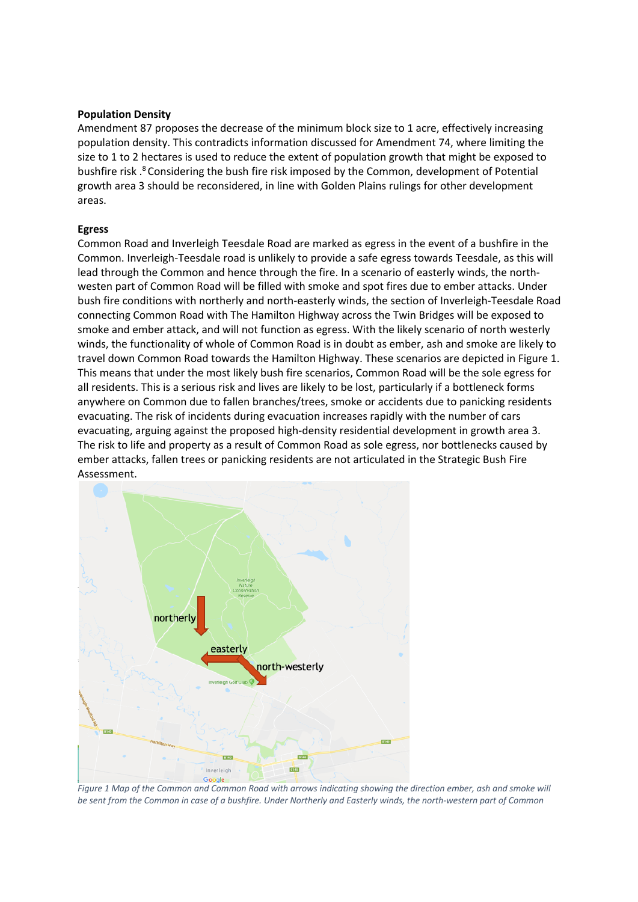### **Population Density**

Amendment 87 proposes the decrease of the minimum block size to 1 acre, effectively increasing population density. This contradicts information discussed for Amendment 74, where limiting the size to 1 to 2 hectares is used to reduce the extent of population growth that might be exposed to bushfire risk . <sup>8</sup> Considering the bush fire risk imposed by the Common, development of Potential growth area 3 should be reconsidered, in line with Golden Plains rulings for other development areas.

#### **Egress**

Common Road and Inverleigh Teesdale Road are marked as egress in the event of a bushfire in the Common. Inverleigh-Teesdale road is unlikely to provide a safe egress towards Teesdale, as this will lead through the Common and hence through the fire. In a scenario of easterly winds, the northwesten part of Common Road will be filled with smoke and spot fires due to ember attacks. Under bush fire conditions with northerly and north-easterly winds, the section of Inverleigh-Teesdale Road connecting Common Road with The Hamilton Highway across the Twin Bridges will be exposed to smoke and ember attack, and will not function as egress. With the likely scenario of north westerly winds, the functionality of whole of Common Road is in doubt as ember, ash and smoke are likely to travel down Common Road towards the Hamilton Highway. These scenarios are depicted in Figure 1. This means that under the most likely bush fire scenarios, Common Road will be the sole egress for all residents. This is a serious risk and lives are likely to be lost, particularly if a bottleneck forms anywhere on Common due to fallen branches/trees, smoke or accidents due to panicking residents evacuating. The risk of incidents during evacuation increases rapidly with the number of cars evacuating, arguing against the proposed high-density residential development in growth area 3. The risk to life and property as a result of Common Road as sole egress, nor bottlenecks caused by ember attacks, fallen trees or panicking residents are not articulated in the Strategic Bush Fire Assessment.



*Figure 1 Map of the Common and Common Road with arrows indicating showing the direction ember, ash and smoke will be sent from the Common in case of a bushfire. Under Northerly and Easterly winds, the north-western part of Common*